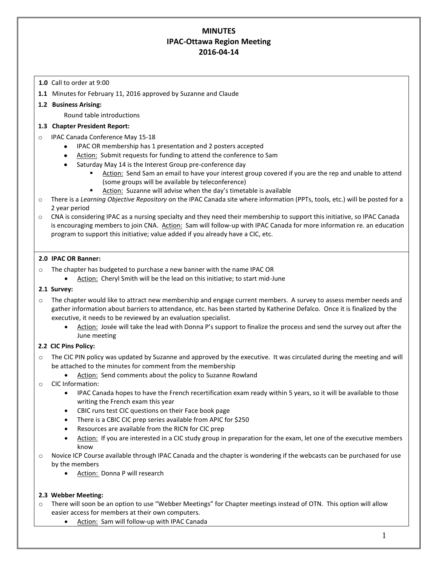# **MINUTES IPAC-Ottawa Region Meeting 2016-04-14**

## **1.0** Call to order at 9:00

**1.1** Minutes for February 11, 2016 approved by Suzanne and Claude

## **1.2 Business Arising:**

Round table introductions

#### **1.3 Chapter President Report:**

- IPAC Canada Conference May 15-18
	- IPAC OR membership has 1 presentation and 2 posters accepted
	- Action: Submit requests for funding to attend the conference to Sam
	- Saturday May 14 is the Interest Group pre-conference day
		- Action: Send Sam an email to have your interest group covered if you are the rep and unable to attend (some groups will be available by teleconference)
		- Action: Suzanne will advise when the day's timetable is available
- o There is a *Learning Objective Repository* on the IPAC Canada site where information (PPTs, tools, etc.) will be posted for a 2 year period
- o CNA is considering IPAC as a nursing specialty and they need their membership to support this initiative, so IPAC Canada is encouraging members to join CNA. Action: Sam will follow-up with IPAC Canada for more information re. an education program to support this initiative; value added if you already have a CIC, etc.

#### **2.0 IPAC OR Banner:**

- o The chapter has budgeted to purchase a new banner with the name IPAC OR
	- Action: Cheryl Smith will be the lead on this initiative; to start mid-June

#### **2.1 Survey:**

- $\circ$  The chapter would like to attract new membership and engage current members. A survey to assess member needs and gather information about barriers to attendance, etc. has been started by Katherine Defalco. Once it is finalized by the executive, it needs to be reviewed by an evaluation specialist.
	- Action: Josée will take the lead with Donna P's support to finalize the process and send the survey out after the June meeting

## **2.2 CIC Pins Policy:**

- o The CIC PIN policy was updated by Suzanne and approved by the executive. It was circulated during the meeting and will be attached to the minutes for comment from the membership
	- Action: Send comments about the policy to Suzanne Rowland
- o CIC Information:
	- IPAC Canada hopes to have the French recertification exam ready within 5 years, so it will be available to those writing the French exam this year
	- CBIC runs test CIC questions on their Face book page
	- There is a CBIC CIC prep series available from APIC for \$250
	- Resources are available from the RICN for CIC prep
	- Action: If you are interested in a CIC study group in preparation for the exam, let one of the executive members know
- o Novice ICP Course available through IPAC Canada and the chapter is wondering if the webcasts can be purchased for use by the members
	- Action: Donna P will research

#### **2.3 Webber Meeting:**

- $\circ$  There will soon be an option to use "Webber Meetings" for Chapter meetings instead of OTN. This option will allow easier access for members at their own computers.
	- Action: Sam will follow-up with IPAC Canada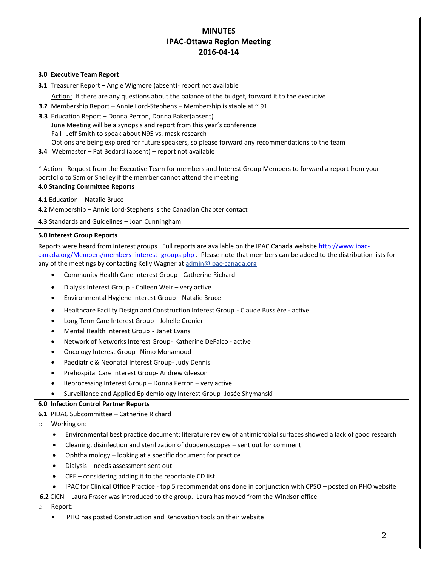# **MINUTES IPAC-Ottawa Region Meeting 2016-04-14**

#### **3.0 Executive Team Report**

**3.1** Treasurer Report **–** Angie Wigmore (absent)- report not available

Action: If there are any questions about the balance of the budget, forward it to the executive

- **3.2** Membership Report Annie Lord-Stephens Membership is stable at ~ 91
- **3.3** Education Report Donna Perron, Donna Baker(absent)

June Meeting will be a synopsis and report from this year's conference Fall –Jeff Smith to speak about N95 vs. mask research Options are being explored for future speakers, so please forward any recommendations to the team

**3.4** Webmaster – Pat Bedard (absent) – report not available

\* Action: Request from the Executive Team for members and Interest Group Members to forward a report from your portfolio to Sam or Shelley if the member cannot attend the meeting

#### **4.0 Standing Committee Reports**

- **4.1** Education Natalie Bruce
- **4.2** Membership Annie Lord-Stephens is the Canadian Chapter contact

**4.3** Standards and Guidelines – Joan Cunningham

## **5.0 Interest Group Reports**

Reports were heard from interest groups. Full reports are available on the IPAC Canada website [http://www.ipac](http://www.ipac-canada.org/Members/members_interest_groups.php)[canada.org/Members/members\\_interest\\_groups.php](http://www.ipac-canada.org/Members/members_interest_groups.php) . Please note that members can be added to the distribution lists for any of the meetings by contacting Kelly Wagner at [admin@ipac-canada.org](mailto:admin@ipac-canada.org)

- [Community Health Care Interest Group](http://www.ipac-canada.org/Members/members_comm.php) Catherine Richard
- [Dialysis Interest Group](http://www.ipac-canada.org/Members/members_dial.php) Colleen Weir very active
- [Environmental Hygiene Interest Group](http://www.ipac-canada.org/Members/members_EnvHygiene.php) Natalie Bruce
- [Healthcare Facility Design and Construction Interest Group](http://www.ipac-canada.org/Members/members_construction.php) Claude Bussière active
- [Long Term Care Interest Group](http://www.ipac-canada.org/Members/members_long.php) Johelle Cronier
- [Mental Health Interest Group](http://www.ipac-canada.org/Members/members_mental.php) Janet Evans
- [Network of Networks Interest Group-](http://www.ipac-canada.org/Members/members_networks.php) Katherine DeFalco active
- [Oncology Interest Group-](http://www.ipac-canada.org/Members/members_oncol.php) Nimo Mohamoud
- [Paediatric & Neonatal Interest Group-](http://www.ipac-canada.org/Members/members_peds.php) Judy Dennis
- [Prehospital Care Interest Group-](http://www.ipac-canada.org/Members/members_prehospital.php) Andrew Gleeson
- [Reprocessing Interest Group](http://www.ipac-canada.org/Members/members_reprocessing.php) Donna Perron very active
- [Surveillance and Applied Epidemiology Interest Group-](http://www.ipac-canada.org/Members/members_surv.php) Josée Shymanski

## **6.0 Infection Control Partner Reports**

**6.1** PIDAC Subcommittee – Catherine Richard

- Working on:
	- Environmental best practice document; literature review of antimicrobial surfaces showed a lack of good research
	- Cleaning, disinfection and sterilization of duodenoscopes sent out for comment
	- Ophthalmology looking at a specific document for practice
	- Dialysis needs assessment sent out
	- CPE considering adding it to the reportable CD list
	- IPAC for Clinical Office Practice top 5 recommendations done in conjunction with CPSO posted on PHO website

**6.2** CICN – Laura Fraser was introduced to the group. Laura has moved from the Windsor office

#### Report:

PHO has posted Construction and Renovation tools on their website